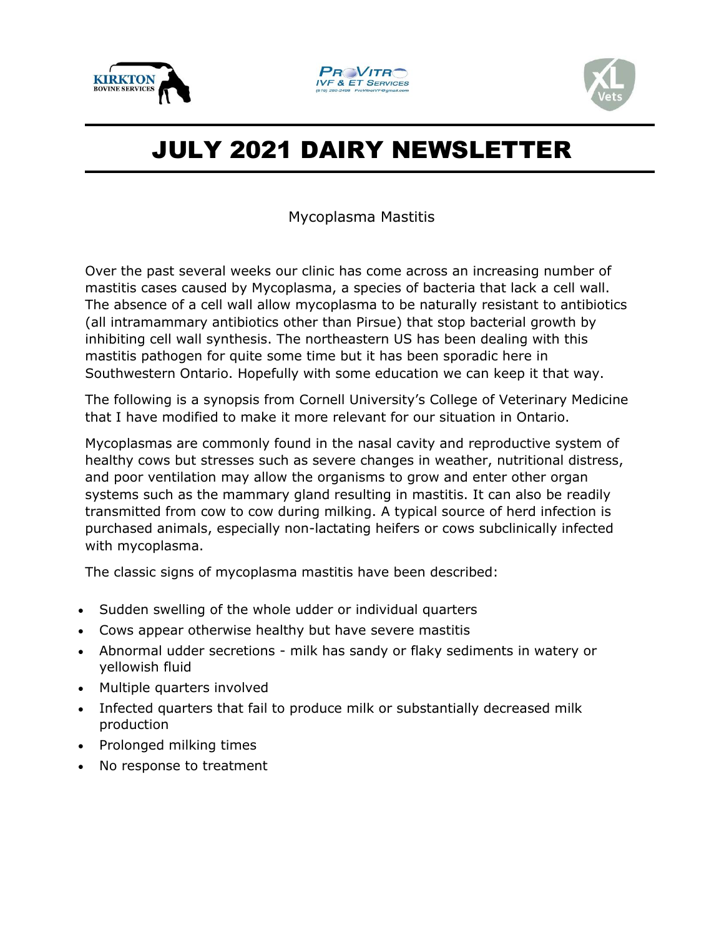





## JULY 2021 DAIRY NEWSLETTER

Mycoplasma Mastitis

Over the past several weeks our clinic has come across an increasing number of mastitis cases caused by Mycoplasma, a species of bacteria that lack a cell wall. The absence of a cell wall allow mycoplasma to be naturally resistant to antibiotics (all intramammary antibiotics other than Pirsue) that stop bacterial growth by inhibiting cell wall synthesis. The northeastern US has been dealing with this mastitis pathogen for quite some time but it has been sporadic here in Southwestern Ontario. Hopefully with some education we can keep it that way.

The following is a synopsis from Cornell University's College of Veterinary Medicine that I have modified to make it more relevant for our situation in Ontario.

Mycoplasmas are commonly found in the nasal cavity and reproductive system of healthy cows but stresses such as severe changes in weather, nutritional distress, and poor ventilation may allow the organisms to grow and enter other organ systems such as the mammary gland resulting in mastitis. It can also be readily transmitted from cow to cow during milking. A typical source of herd infection is purchased animals, especially non-lactating heifers or cows subclinically infected with mycoplasma.

The classic signs of mycoplasma mastitis have been described:

- Sudden swelling of the whole udder or individual quarters
- Cows appear otherwise healthy but have severe mastitis
- Abnormal udder secretions milk has sandy or flaky sediments in watery or yellowish fluid
- Multiple quarters involved
- Infected quarters that fail to produce milk or substantially decreased milk production
- Prolonged milking times
- No response to treatment